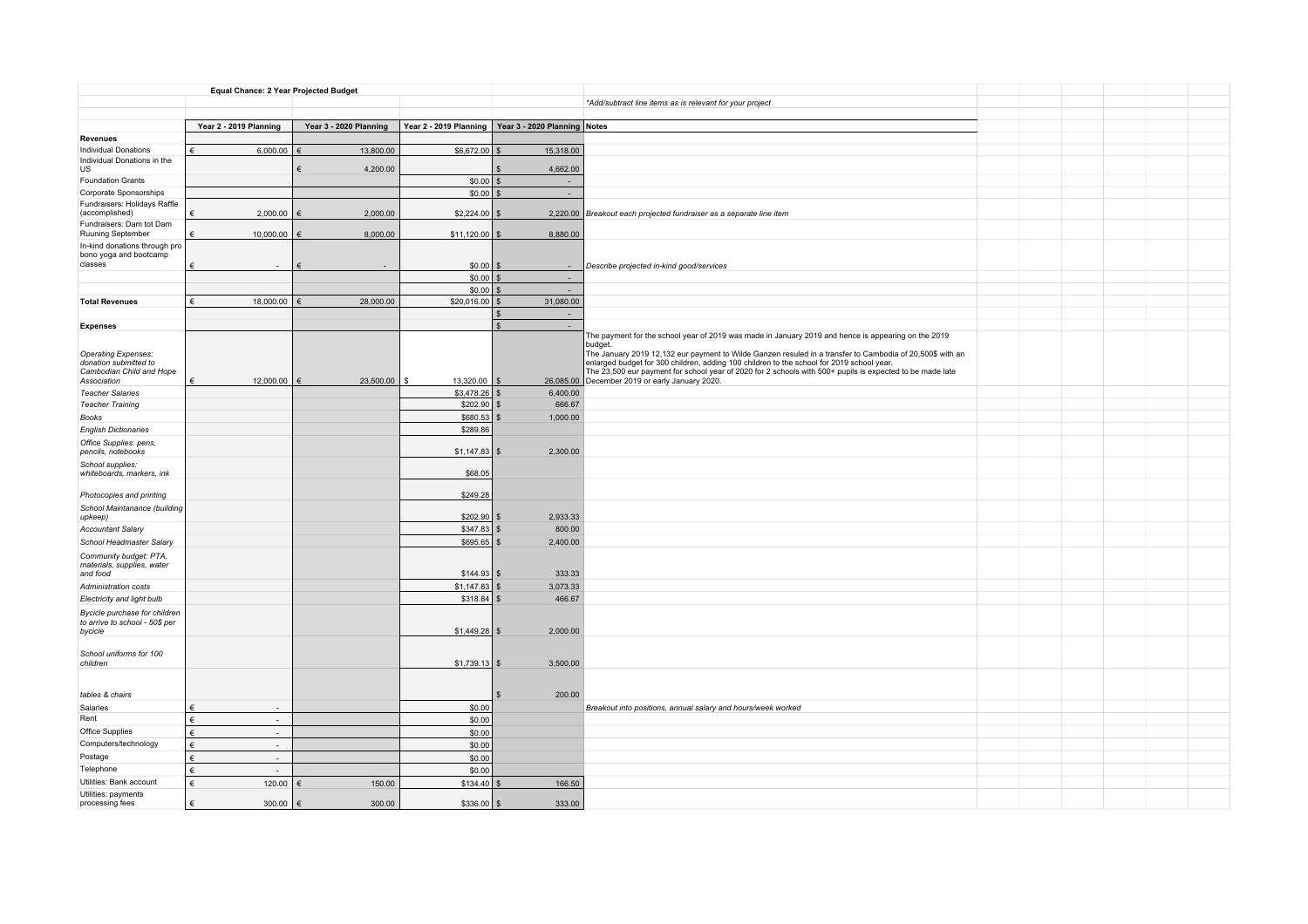|                                                            | Equal Chance: 2 Year Projected Budget  |                        |                        |                              |                                                                                                                                                             |
|------------------------------------------------------------|----------------------------------------|------------------------|------------------------|------------------------------|-------------------------------------------------------------------------------------------------------------------------------------------------------------|
|                                                            |                                        |                        |                        |                              | *Add/subtract line items as is relevant for your project                                                                                                    |
|                                                            |                                        |                        |                        |                              |                                                                                                                                                             |
|                                                            | Year 2 - 2019 Planning                 | Year 3 - 2020 Planning | Year 2 - 2019 Planning | Year 3 - 2020 Planning Notes |                                                                                                                                                             |
| <b>Revenues</b>                                            |                                        |                        |                        |                              |                                                                                                                                                             |
| <b>Individual Donations</b><br>Individual Donations in the | €<br>6,000.00                          | €<br>13,800.00         | \$6,672.00             | 15,318.00                    |                                                                                                                                                             |
| <b>US</b>                                                  |                                        | €<br>4,200.00          |                        | 4,662.00                     |                                                                                                                                                             |
| <b>Foundation Grants</b>                                   |                                        |                        | \$0.00                 | $\sim$                       |                                                                                                                                                             |
| Corporate Sponsorships                                     |                                        |                        | \$0.00                 | $\sim$                       |                                                                                                                                                             |
| Fundraisers: Holidays Raffle                               | €                                      |                        |                        |                              |                                                                                                                                                             |
| (accomplished)<br>Fundraisers: Dam tot Dam                 | 2,000.00                               | 2,000.00               | \$2,224.00             |                              | 2,220.00 Breakout each projected fundraiser as a separate line item                                                                                         |
| Ruuning September                                          | 10,000.00<br>€                         | 8,000.00<br>€          | $$11,120.00$ \ \$      | 8,880.00                     |                                                                                                                                                             |
| In-kind donations through pro                              |                                        |                        |                        |                              |                                                                                                                                                             |
| bono yoga and bootcamp<br>classes                          |                                        |                        |                        |                              |                                                                                                                                                             |
|                                                            | €                                      |                        | \$0.00<br>$$0.00$ \ \$ | $\sim$                       | Describe projected in-kind good/services                                                                                                                    |
|                                                            |                                        |                        | $$0.00$ \$             | i.                           |                                                                                                                                                             |
| <b>Total Revenues</b>                                      | 18,000.00<br>$\epsilon$                | 28,000.00              | $$20,016.00$ \ \$      | 31,080.00                    |                                                                                                                                                             |
|                                                            |                                        |                        |                        | $\sim$<br>- S                |                                                                                                                                                             |
| <b>Expenses</b>                                            |                                        |                        |                        | $\mathbf{\hat{S}}$           |                                                                                                                                                             |
|                                                            |                                        |                        |                        |                              | The payment for the school year of 2019 was made in January 2019 and hence is appearing on the 2019                                                         |
| Operating Expenses:                                        |                                        |                        |                        |                              | budget.<br>The January 2019 12,132 eur payment to Wilde Ganzen resuled in a transfer to Cambodia of 20,500\$ with an                                        |
| donation submitted to                                      |                                        |                        |                        |                              | enlarged budget for 300 children, adding 100 children to the school for 2019 school year.                                                                   |
| Cambodian Child and Hope<br>Association                    | 12,000.00<br>€                         | 23,500.00<br>€         | 13,320.00<br>\$        |                              | The 23,500 eur payment for school year of 2020 for 2 schools with 500+ pupils is expected to be made late<br>26,085.00 December 2019 or early January 2020. |
| <b>Teacher Salaries</b>                                    |                                        |                        | \$3,478.26             | 6,400.00                     |                                                                                                                                                             |
| <b>Teacher Training</b>                                    |                                        |                        | \$202.90               | 666.67                       |                                                                                                                                                             |
| <b>Books</b>                                               |                                        |                        | \$680.53               | 1,000.00                     |                                                                                                                                                             |
| <b>English Dictionaries</b>                                |                                        |                        | \$289.86               |                              |                                                                                                                                                             |
| Office Supplies: pens,                                     |                                        |                        |                        |                              |                                                                                                                                                             |
| pencils, notebooks                                         |                                        |                        | \$1,147.83             | 2,300.00                     |                                                                                                                                                             |
| School supplies:<br>whiteboards, markers, ink              |                                        |                        | \$68.05                |                              |                                                                                                                                                             |
|                                                            |                                        |                        |                        |                              |                                                                                                                                                             |
| Photocopies and printing                                   |                                        |                        | \$249.28               |                              |                                                                                                                                                             |
| School Maintanance (building                               |                                        |                        |                        |                              |                                                                                                                                                             |
| upkeep)                                                    |                                        |                        | \$202.90               | 2,933.33                     |                                                                                                                                                             |
| <b>Accountant Salary</b>                                   |                                        |                        | \$347.83               | 800.00                       |                                                                                                                                                             |
| School Headmaster Salary                                   |                                        |                        | \$695.65               | 2,400.00                     |                                                                                                                                                             |
| Community budget: PTA,<br>materials, supplies, water       |                                        |                        |                        |                              |                                                                                                                                                             |
| and food                                                   |                                        |                        | \$144.93               | 333.33                       |                                                                                                                                                             |
| Administration costs                                       |                                        |                        | \$1,147.83             | 3,073.33                     |                                                                                                                                                             |
| Electricity and light bulb                                 |                                        |                        | \$318.84               | 466.67                       |                                                                                                                                                             |
| Bycicle purchase for children                              |                                        |                        |                        |                              |                                                                                                                                                             |
| to arrive to school - 50\$ per<br>bycicle                  |                                        |                        | \$1,449.28             | 2,000.00                     |                                                                                                                                                             |
|                                                            |                                        |                        |                        |                              |                                                                                                                                                             |
| School uniforms for 100                                    |                                        |                        |                        |                              |                                                                                                                                                             |
| children                                                   |                                        |                        | $$1,739.13$ \$         | 3,500.00                     |                                                                                                                                                             |
|                                                            |                                        |                        |                        |                              |                                                                                                                                                             |
| tables & chairs                                            |                                        |                        |                        | 200.00                       |                                                                                                                                                             |
| Salaries                                                   |                                        |                        | \$0.00                 |                              | Breakout into positions, annual salary and hours/week worked                                                                                                |
| Rent                                                       | €<br>$\sim$                            |                        | \$0.00                 |                              |                                                                                                                                                             |
| Office Supplies                                            | $\epsilon$<br>$\overline{\phantom{a}}$ |                        | \$0.00                 |                              |                                                                                                                                                             |
| Computers/technology                                       | €<br>$\sim$                            |                        | \$0.00                 |                              |                                                                                                                                                             |
| Postage                                                    | €<br>$\sim$                            |                        | \$0.00                 |                              |                                                                                                                                                             |
| Telephone                                                  | €                                      |                        | \$0.00                 |                              |                                                                                                                                                             |
| Utilities: Bank account                                    | €<br>120.00                            | 150.00<br>€            | \$134.40               | 166.50                       |                                                                                                                                                             |
| Utilities: payments                                        |                                        |                        |                        |                              |                                                                                                                                                             |
| processing fees                                            | 300.00<br>€                            | 300.00                 | $$336.00$ \$           | 333.00                       |                                                                                                                                                             |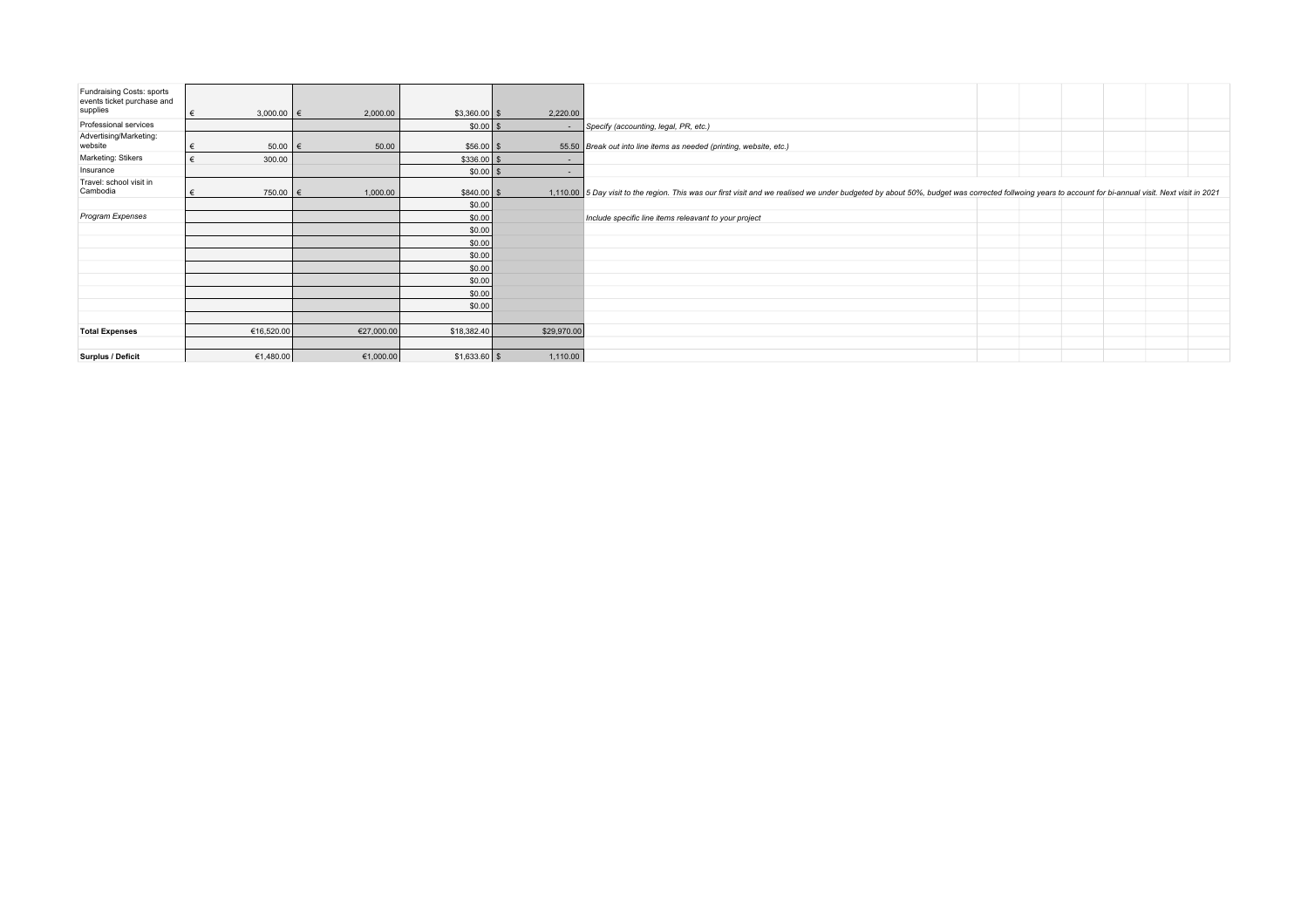| Fundraising Costs: sports<br>events ticket purchase and<br>supplies | 3,000.00 $\in$<br>€ | 2,000.00   | $$3,360.00$ \$ | 2,220.00                 |                                                                                                                                                                                                      |
|---------------------------------------------------------------------|---------------------|------------|----------------|--------------------------|------------------------------------------------------------------------------------------------------------------------------------------------------------------------------------------------------|
| Professional services                                               |                     |            | $$0.00$ \$     |                          | Specify (accounting, legal, PR, etc.)                                                                                                                                                                |
| Advertising/Marketing:                                              |                     |            |                |                          |                                                                                                                                                                                                      |
| website                                                             | $50.00$ $\in$       | 50.00      | $$56.00$ \ \$  |                          | 55.50 Break out into line items as needed (printing, website, etc.)                                                                                                                                  |
| Marketing: Stikers                                                  | €<br>300.00         |            | $$336.00$ \$   | $\overline{\phantom{a}}$ |                                                                                                                                                                                                      |
| Insurance                                                           |                     |            | $$0.00$ \ \$   | ۰                        |                                                                                                                                                                                                      |
| Travel: school visit in                                             |                     |            |                |                          |                                                                                                                                                                                                      |
| Cambodia                                                            | 750.00 €            | 1,000.00   | $$840.00$ \$   |                          | 1,110.00 5 Day visit to the region. This was our first visit and we realised we under budgeted by about 50%, budget was corrected follwoing years to account for bi-annual visit. Next visit in 2021 |
|                                                                     |                     |            | \$0.00         |                          |                                                                                                                                                                                                      |
| Program Expenses                                                    |                     |            | \$0.00         |                          | Include specific line items releavant to your project                                                                                                                                                |
|                                                                     |                     |            | \$0.00         |                          |                                                                                                                                                                                                      |
|                                                                     |                     |            | \$0.00         |                          |                                                                                                                                                                                                      |
|                                                                     |                     |            | \$0.00         |                          |                                                                                                                                                                                                      |
|                                                                     |                     |            | \$0.00         |                          |                                                                                                                                                                                                      |
|                                                                     |                     |            | \$0.00         |                          |                                                                                                                                                                                                      |
|                                                                     |                     |            | \$0.00         |                          |                                                                                                                                                                                                      |
|                                                                     |                     |            | \$0.00         |                          |                                                                                                                                                                                                      |
|                                                                     |                     |            |                |                          |                                                                                                                                                                                                      |
| <b>Total Expenses</b>                                               | €16,520.00          | €27,000.00 | \$18,382.40    | \$29,970.00              |                                                                                                                                                                                                      |
|                                                                     |                     |            |                |                          |                                                                                                                                                                                                      |
| <b>Surplus / Deficit</b>                                            | €1,480.00           | €1,000.00  | $$1,633.60$ \$ | 1,110.00                 |                                                                                                                                                                                                      |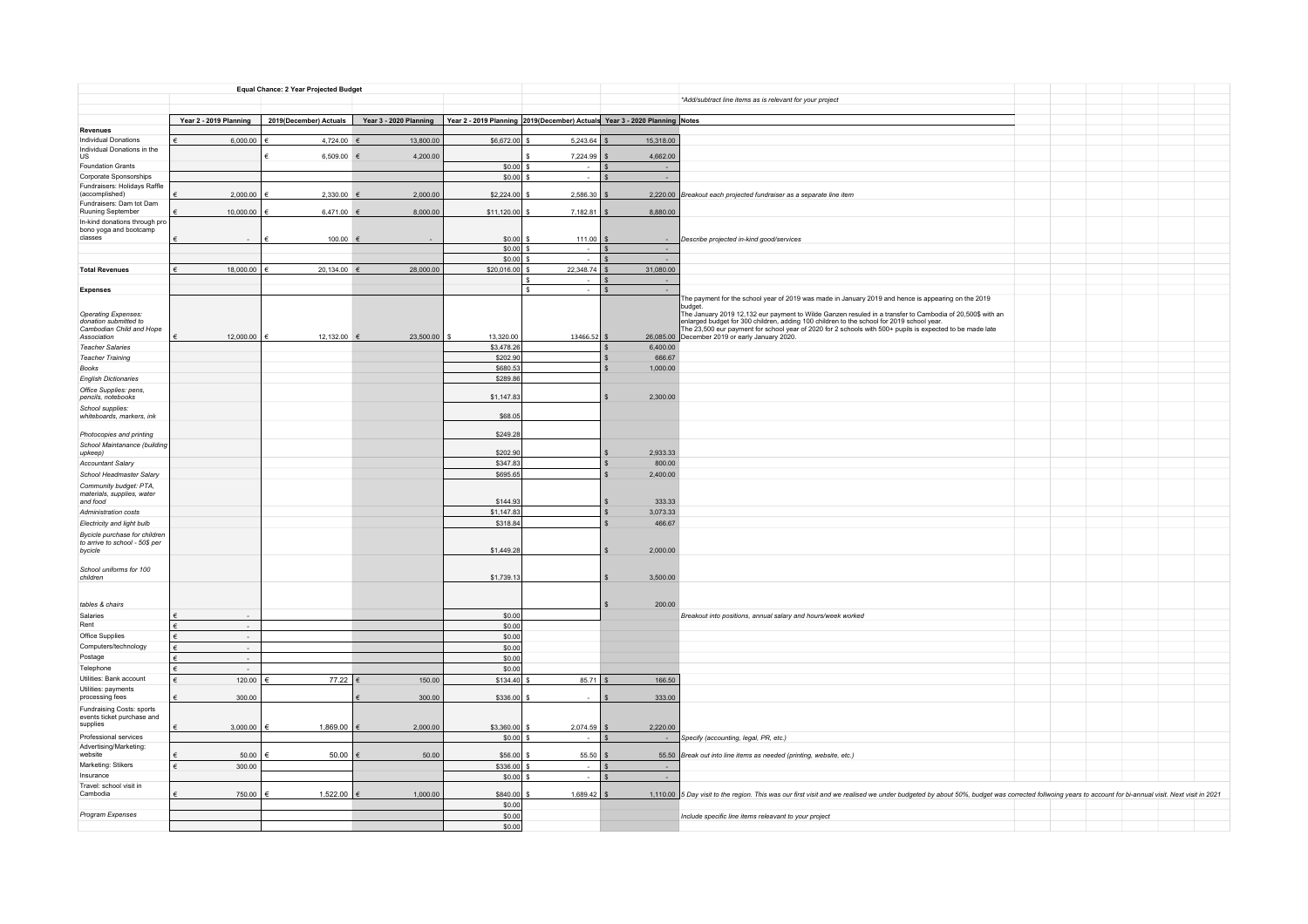| Equal Chance: 2 Year Projected Budget                                                   |                        |                        |                        |                                                                            |               |           |                                                                                                                                                                                                                                                                                                                                                                                                                                                                                        |  |  |
|-----------------------------------------------------------------------------------------|------------------------|------------------------|------------------------|----------------------------------------------------------------------------|---------------|-----------|----------------------------------------------------------------------------------------------------------------------------------------------------------------------------------------------------------------------------------------------------------------------------------------------------------------------------------------------------------------------------------------------------------------------------------------------------------------------------------------|--|--|
|                                                                                         |                        |                        |                        |                                                                            |               |           | *Add/subtract line items as is relevant for your project                                                                                                                                                                                                                                                                                                                                                                                                                               |  |  |
|                                                                                         |                        |                        |                        |                                                                            |               |           |                                                                                                                                                                                                                                                                                                                                                                                                                                                                                        |  |  |
| Revenues                                                                                | Year 2 - 2019 Planning | 2019(December) Actuals | Year 3 - 2020 Planning | Year 2 - 2019 Planning 2019(December) Actuals Year 3 - 2020 Planning Notes |               |           |                                                                                                                                                                                                                                                                                                                                                                                                                                                                                        |  |  |
| Individual Donations                                                                    | 6,000.00               | 4,724.00 €             | 13,800.00              | \$6,672.00                                                                 | 5,243.64      | 15,318.00 |                                                                                                                                                                                                                                                                                                                                                                                                                                                                                        |  |  |
| Individual Donations in the                                                             |                        |                        |                        |                                                                            |               |           |                                                                                                                                                                                                                                                                                                                                                                                                                                                                                        |  |  |
| US                                                                                      |                        | 6,509.00 $\in$         | 4,200.00               |                                                                            | 7,224.99      | 4,662.00  |                                                                                                                                                                                                                                                                                                                                                                                                                                                                                        |  |  |
| <b>Foundation Grants</b><br>Corporate Sponsorships                                      |                        |                        |                        | \$0.00<br>\$0.00                                                           | $\sim$        |           |                                                                                                                                                                                                                                                                                                                                                                                                                                                                                        |  |  |
| Fundraisers: Holidays Raffle                                                            |                        |                        |                        |                                                                            |               |           |                                                                                                                                                                                                                                                                                                                                                                                                                                                                                        |  |  |
| (accomplished)                                                                          | 2,000.00               | $2,330.00$ $6$         | 2,000.00               | \$2,224.00                                                                 | 2,586.30      |           | 2,220.00 Breakout each projected fundraiser as a separate line item                                                                                                                                                                                                                                                                                                                                                                                                                    |  |  |
| Fundraisers: Dam tot Dam<br>Ruuning September                                           | 10,000.00              | 6,471.00               | 8,000.00               | \$11,120.00                                                                | 7,182.81      | 8,880.00  |                                                                                                                                                                                                                                                                                                                                                                                                                                                                                        |  |  |
| In-kind donations through pro                                                           |                        |                        |                        |                                                                            |               |           |                                                                                                                                                                                                                                                                                                                                                                                                                                                                                        |  |  |
| bono yoga and bootcamp<br>classes                                                       |                        |                        |                        |                                                                            |               |           |                                                                                                                                                                                                                                                                                                                                                                                                                                                                                        |  |  |
|                                                                                         |                        | $100.00$ $\in$         |                        | \$0.00<br>\$0.00                                                           | 111.00        | l s       | Describe projected in-kind good/services                                                                                                                                                                                                                                                                                                                                                                                                                                               |  |  |
|                                                                                         |                        |                        |                        | \$0.00                                                                     |               |           |                                                                                                                                                                                                                                                                                                                                                                                                                                                                                        |  |  |
| <b>Total Revenues</b>                                                                   | 18,000.00              | 20,134.00 €            | 28,000.00              | \$20,016.00                                                                | 22,348.74     | 31,080.00 |                                                                                                                                                                                                                                                                                                                                                                                                                                                                                        |  |  |
|                                                                                         |                        |                        |                        |                                                                            |               |           |                                                                                                                                                                                                                                                                                                                                                                                                                                                                                        |  |  |
| <b>Expenses</b>                                                                         |                        |                        |                        |                                                                            |               |           |                                                                                                                                                                                                                                                                                                                                                                                                                                                                                        |  |  |
| Operating Expenses:<br>donation submitted to<br>Cambodian Child and Hope<br>Association | 12,000.00              | 12,132.00 €            | 23,500.00              | 13,320.00                                                                  | 13466.52      |           | The payment for the school year of 2019 was made in January 2019 and hence is appearing on the 2019<br>budget<br>The January 2019 12,132 eur payment to Wilde Ganzen resuled in a transfer to Cambodia of 20,500\$ with an<br>enlarged budget for 300 children, adding 100 children to the school for 2019 school year.<br>The 23,500 eur payment for school year of 2020 for 2 schools with 500+ pupils is expected to be made late<br>26,085.00 December 2019 or early January 2020. |  |  |
| <b>Teacher Salaries</b>                                                                 |                        |                        |                        | \$3,478.26                                                                 |               | 6,400.00  |                                                                                                                                                                                                                                                                                                                                                                                                                                                                                        |  |  |
| <b>Teacher Training</b>                                                                 |                        |                        |                        | \$202.90                                                                   |               | 666.67    |                                                                                                                                                                                                                                                                                                                                                                                                                                                                                        |  |  |
| Books                                                                                   |                        |                        |                        | \$680.53                                                                   |               | 1,000.00  |                                                                                                                                                                                                                                                                                                                                                                                                                                                                                        |  |  |
| <b>English Dictionaries</b>                                                             |                        |                        |                        | \$289.86                                                                   |               |           |                                                                                                                                                                                                                                                                                                                                                                                                                                                                                        |  |  |
| Office Supplies: pens,<br>pencils, notebooks                                            |                        |                        |                        | \$1,147.83                                                                 |               | 2,300.00  |                                                                                                                                                                                                                                                                                                                                                                                                                                                                                        |  |  |
| School supplies:<br>whiteboards, markers, ink                                           |                        |                        |                        | \$68.0                                                                     |               |           |                                                                                                                                                                                                                                                                                                                                                                                                                                                                                        |  |  |
|                                                                                         |                        |                        |                        |                                                                            |               |           |                                                                                                                                                                                                                                                                                                                                                                                                                                                                                        |  |  |
| Photocopies and printing                                                                |                        |                        |                        | \$249.28                                                                   |               |           |                                                                                                                                                                                                                                                                                                                                                                                                                                                                                        |  |  |
| School Maintanance (building<br>upkeep)                                                 |                        |                        |                        | \$202.90                                                                   |               | 2.933.33  |                                                                                                                                                                                                                                                                                                                                                                                                                                                                                        |  |  |
| Accountant Salary                                                                       |                        |                        |                        | \$347.83                                                                   |               | 800.00    |                                                                                                                                                                                                                                                                                                                                                                                                                                                                                        |  |  |
| School Headmaster Salary                                                                |                        |                        |                        | \$695.65                                                                   |               | 2,400.00  |                                                                                                                                                                                                                                                                                                                                                                                                                                                                                        |  |  |
| Community budget: PTA,<br>materials, supplies, water<br>and food                        |                        |                        |                        | \$144.93                                                                   |               | 333.33    |                                                                                                                                                                                                                                                                                                                                                                                                                                                                                        |  |  |
| Administration costs                                                                    |                        |                        |                        | \$1,147.83                                                                 |               | 3.073.33  |                                                                                                                                                                                                                                                                                                                                                                                                                                                                                        |  |  |
| Electricity and light bulb                                                              |                        |                        |                        | \$318.84                                                                   |               | 466.67    |                                                                                                                                                                                                                                                                                                                                                                                                                                                                                        |  |  |
| Bycicle purchase for children<br>to arrive to school - 50\$ per<br>bycicle              |                        |                        |                        | \$1,449.28                                                                 |               | 2,000.00  |                                                                                                                                                                                                                                                                                                                                                                                                                                                                                        |  |  |
| School uniforms for 100<br>children                                                     |                        |                        |                        | \$1,739.1                                                                  |               | 3,500.00  |                                                                                                                                                                                                                                                                                                                                                                                                                                                                                        |  |  |
|                                                                                         |                        |                        |                        |                                                                            |               |           |                                                                                                                                                                                                                                                                                                                                                                                                                                                                                        |  |  |
| tables & chairs                                                                         |                        |                        |                        |                                                                            |               | 200.00    |                                                                                                                                                                                                                                                                                                                                                                                                                                                                                        |  |  |
| Salaries<br>Rent                                                                        | $\sim$                 |                        |                        | \$0.00<br>\$0.00                                                           |               |           | Breakout into positions, annual salary and hours/week worked                                                                                                                                                                                                                                                                                                                                                                                                                           |  |  |
| Office Supplies                                                                         | $\sim$                 |                        |                        | \$0.00                                                                     |               |           |                                                                                                                                                                                                                                                                                                                                                                                                                                                                                        |  |  |
| Computers/technology                                                                    | $\sim$                 |                        |                        | \$0.00                                                                     |               |           |                                                                                                                                                                                                                                                                                                                                                                                                                                                                                        |  |  |
| Postage                                                                                 |                        |                        |                        | \$0.00                                                                     |               |           |                                                                                                                                                                                                                                                                                                                                                                                                                                                                                        |  |  |
| Telephone                                                                               |                        |                        |                        | \$0.00                                                                     |               |           |                                                                                                                                                                                                                                                                                                                                                                                                                                                                                        |  |  |
| Utilities: Bank account                                                                 | 120.00<br>¢            | 77.22 €                | 150.00                 | \$134.40                                                                   | 85.71         | 166.50    |                                                                                                                                                                                                                                                                                                                                                                                                                                                                                        |  |  |
| Utilities: payments<br>processing fees                                                  | 300.00                 |                        | 300.00                 | \$336.00                                                                   |               | 333.00    |                                                                                                                                                                                                                                                                                                                                                                                                                                                                                        |  |  |
| Fundraising Costs: sports                                                               |                        |                        |                        |                                                                            |               |           |                                                                                                                                                                                                                                                                                                                                                                                                                                                                                        |  |  |
| events ticket purchase and                                                              |                        |                        |                        |                                                                            |               |           |                                                                                                                                                                                                                                                                                                                                                                                                                                                                                        |  |  |
| supplies                                                                                | 3,000.00               | 1,869.00               | 2,000.00               | \$3,360.00                                                                 | 2,074.59      | 2,220.00  |                                                                                                                                                                                                                                                                                                                                                                                                                                                                                        |  |  |
| Professional services<br>Advertising/Marketing:                                         |                        |                        |                        | \$0.00                                                                     |               |           | Specify (accounting, legal, PR, etc.)                                                                                                                                                                                                                                                                                                                                                                                                                                                  |  |  |
| website                                                                                 | 50.00                  | 50.00                  | 50.00                  | \$56.00                                                                    | 55.50         |           | 55.50 Break out into line items as needed (printing, website, etc.)                                                                                                                                                                                                                                                                                                                                                                                                                    |  |  |
| Marketing: Stikers                                                                      | ¢<br>300.00            |                        |                        | \$336.00                                                                   |               |           |                                                                                                                                                                                                                                                                                                                                                                                                                                                                                        |  |  |
| Insurance                                                                               |                        |                        |                        | \$0.00                                                                     | $\sim$        |           |                                                                                                                                                                                                                                                                                                                                                                                                                                                                                        |  |  |
| Travel: school visit in<br>Cambodia                                                     | 750.00                 | 1,522.00 €             | 1,000.00               | \$840.00                                                                   | $1,689.42$ \$ |           | 1,110.00 5 Day visit to the region. This was our first visit and we realised we under budgeted by about 50%, budget was corrected follwoing years to account for bi-annual visit. Next visit in 2021                                                                                                                                                                                                                                                                                   |  |  |
|                                                                                         |                        |                        |                        | \$0.00                                                                     |               |           |                                                                                                                                                                                                                                                                                                                                                                                                                                                                                        |  |  |
| Program Expenses                                                                        |                        |                        |                        | \$0.00                                                                     |               |           | Include specific line items releavant to your project                                                                                                                                                                                                                                                                                                                                                                                                                                  |  |  |
|                                                                                         |                        |                        |                        | \$0.00                                                                     |               |           |                                                                                                                                                                                                                                                                                                                                                                                                                                                                                        |  |  |